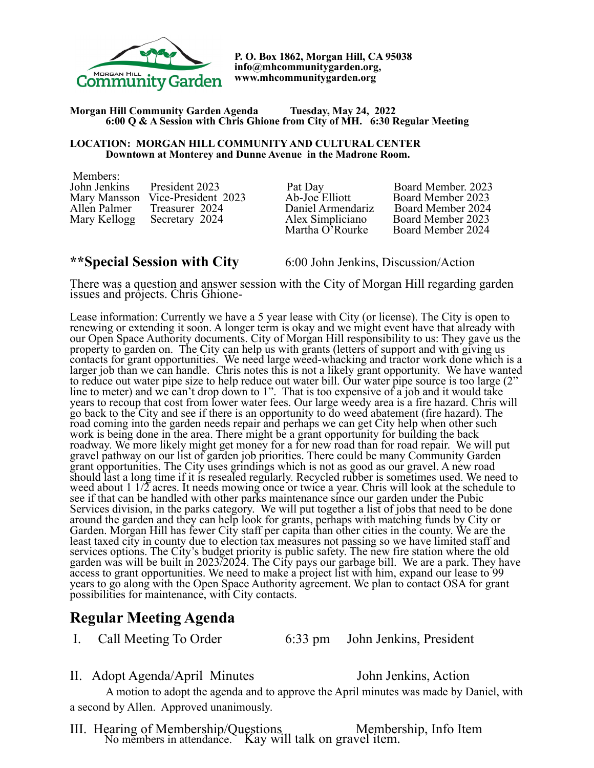

**P. O. Box 1862, Morgan Hill, CA 95038 info@mhcommunitygarden.org, www.mhcommunitygarden.org** 

### **Morgan Hill Community Garden Agenda Tuesday, May 24, 2022 6:00 Q & A Session with Chris Ghione from City of MH. 6:30 Regular Meeting**

### **LOCATION: MORGAN HILL COMMUNITY AND CULTURAL CENTER Downtown at Monterey and Dunne Avenue in the Madrone Room.**

 Members: John Jenkins President 2023 Pat Day Board Member. 2023 Mary Mansson Vice-President 2023<br>
Allen Palmer Treasurer 2024 Daniel Armendariz Board Member 2024<br>
Mary Kellogg Secretary 2024 Alex Simpliciano Board Member 2023 Allen Palmer Treasurer 2024 Daniel Armendariz Board Member 2024 Mary Kellogg Secretary 2024 Alex Simpliciano Board Member 2023

Martha O'Rourke Board Member 2024

**\*\*Special Session with City** 6:00 John Jenkins, Discussion/Action There was a question and answer session with the City of Morgan Hill regarding garden issues and projects. Chris Ghione-

Lease information: Currently we have a 5 year lease with City (or license). The City is open to renewing or extending it soon. A longer term is okay and we might event have that already with our Open Space Authority documents. City of Morgan Hill responsibility to us: They gave us the property to garden on. The City can help us with grants (letters of support and with giving us contacts for grant opportunities. We need large weed-whacking and tractor work done which is a larger job than we can handle. Chris notes this is not a likely grant opportunity. We have wanted to reduce out water pipe size to help reduce out water bill. Our water pipe source is too large (2" line to meter) and we can't drop down to 1". That is too expensive of a job and it would take years to recoup that cost from lower water fees. Our large weedy area is a fire hazard. Chris will go back to the City and see if there is an opportunity to do weed abatement (fire hazard). The road coming into the garden needs repair and perhaps we can get City help when other such work is being done in the area. There might be a grant opportunity for building the back roadway. We more likely might get money for a for new road than for road repair. We will put gravel pathway on our list of garden job priorities. There could be many Community Garden grant opportunities. The City uses grindings which is not as good as our gravel. A new road should last a long time if it is resealed regularly. Recycled rubber is sometimes used. We need to weed about  $1 \frac{1}{2}$  acres. It needs mowing once or twice a year. Chris will look at the schedule to see if that can be handled with other parks maintenance since our garden under the Pubic Services division, in the parks category. We will put together a list of jobs that need to be done around the garden and they can help look for grants, perhaps with matching funds by City or Garden. Morgan Hill has fewer City staff per capita than other cities in the county. We are the least taxed city in county due to election tax measures not passing so we have limited staff and services options. The City's budget priority is public safety. The new fire station where the old garden was will be built in 2023/2024. The City pays our garbage bill. We are a park. They have access to grant opportunities. We need to make a project list with him, expand our lease to 99 years to go along with the Open Space Authority agreement. We plan to contact OSA for grant possibilities for maintenance, with City contacts.

# **Regular Meeting Agenda**

I. Call Meeting To Order 6:33 pm John Jenkins, President

II. Adopt Agenda/April Minutes John Jenkins, Action

A motion to adopt the agenda and to approve the April minutes was made by Daniel, with a second by Allen. Approved unanimously.

III. Hearing of Membership/Questions Membership, Info Item No members in attendance. Kay will talk on gravel item.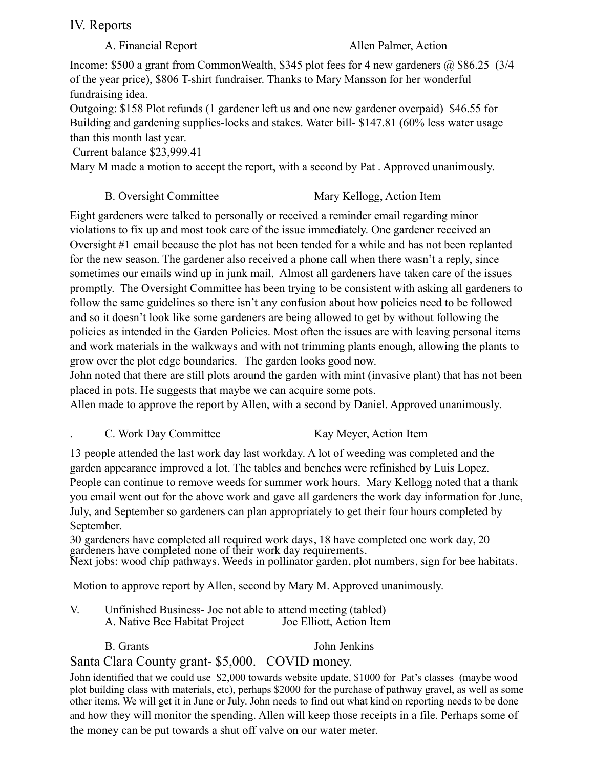# IV. Reports

### A. Financial Report Allen Palmer, Action

Income: \$500 a grant from CommonWealth, \$345 plot fees for 4 new gardeners @ \$86.25 (3/4) of the year price), \$806 T-shirt fundraiser. Thanks to Mary Mansson for her wonderful fundraising idea.

Outgoing: \$158 Plot refunds (1 gardener left us and one new gardener overpaid) \$46.55 for Building and gardening supplies-locks and stakes. Water bill- \$147.81 (60% less water usage than this month last year.

Current balance \$23,999.41

Mary M made a motion to accept the report, with a second by Pat . Approved unanimously.

## B. Oversight Committee Mary Kellogg, Action Item

Eight gardeners were talked to personally or received a reminder email regarding minor violations to fix up and most took care of the issue immediately. One gardener received an Oversight #1 email because the plot has not been tended for a while and has not been replanted for the new season. The gardener also received a phone call when there wasn't a reply, since sometimes our emails wind up in junk mail. Almost all gardeners have taken care of the issues promptly. The Oversight Committee has been trying to be consistent with asking all gardeners to follow the same guidelines so there isn't any confusion about how policies need to be followed and so it doesn't look like some gardeners are being allowed to get by without following the policies as intended in the Garden Policies. Most often the issues are with leaving personal items and work materials in the walkways and with not trimming plants enough, allowing the plants to grow over the plot edge boundaries. The garden looks good now.

John noted that there are still plots around the garden with mint (invasive plant) that has not been placed in pots. He suggests that maybe we can acquire some pots.

Allen made to approve the report by Allen, with a second by Daniel. Approved unanimously.

## C. Work Day Committee Kay Meyer, Action Item

13 people attended the last work day last workday. A lot of weeding was completed and the garden appearance improved a lot. The tables and benches were refinished by Luis Lopez. People can continue to remove weeds for summer work hours. Mary Kellogg noted that a thank you email went out for the above work and gave all gardeners the work day information for June, July, and September so gardeners can plan appropriately to get their four hours completed by September.

30 gardeners have completed all required work days, 18 have completed one work day, 20 gardeners have completed none of their work day requirements. Next jobs: wood chip pathways. Weeds in pollinator garden, plot numbers, sign for bee habitats.

Motion to approve report by Allen, second by Mary M. Approved unanimously.

- V. Unfinished Business- Joe not able to attend meeting (tabled) A. Native Bee Habitat Project Joe Elliott, Action Item
	-

B. Grants John Jenkins

# Santa Clara County grant- \$5,000. COVID money.

John identified that we could use \$2,000 towards website update, \$1000 for Pat's classes (maybe wood plot building class with materials, etc), perhaps \$2000 for the purchase of pathway gravel, as well as some other items. We will get it in June or July. John needs to find out what kind on reporting needs to be done and how they will monitor the spending. Allen will keep those receipts in a file. Perhaps some of the money can be put towards a shut off valve on our water meter.